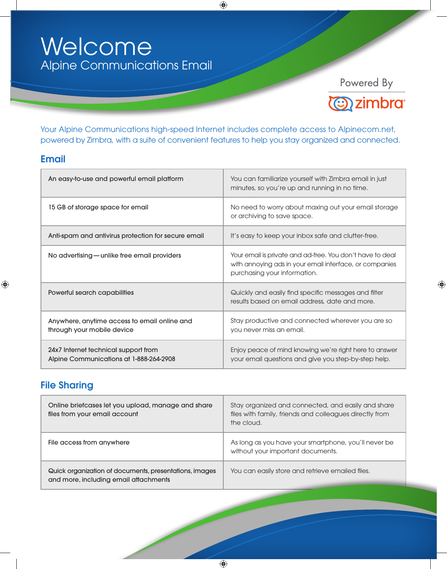# Welcome Alpine Communications Email

Powered By



 $\bigoplus$ 

Your Alpine Communications high-speed Internet includes complete access to Alpinecom.net, powered by Zimbra, with a suite of convenient features to help you stay organized and connected.

 $\bigoplus$ 

### Email

 $\bigoplus$ 

| An easy-to-use and powerful email platform                                      | You can familiarize yourself with Zimbra email in just<br>minutes, so you're up and running in no time.                                              |
|---------------------------------------------------------------------------------|------------------------------------------------------------------------------------------------------------------------------------------------------|
| 15 GB of storage space for email                                                | No need to worry about maxing out your email storage<br>or archiving to save space.                                                                  |
| Anti-spam and antivirus protection for secure email                             | It's easy to keep your inbox safe and clutter-free.                                                                                                  |
| No advertising — unlike free email providers                                    | Your email is private and ad-free. You don't have to deal<br>with annoying ads in your email interface, or companies<br>purchasing your information. |
| Powerful search capabilities                                                    | Quickly and easily find specific messages and filter<br>results based on email address, date and more.                                               |
| Anywhere, anytime access to email online and<br>through your mobile device      | Stay productive and connected wherever you are so<br>you never miss an email.                                                                        |
| 24x7 Internet technical support from<br>Alpine Communications at 1-888-264-2908 | Enjoy peace of mind knowing we're right here to answer<br>your email questions and give you step-by-step help.                                       |

## File Sharing

| Online briefcases let you upload, manage and share<br>files from your email account             | Stay organized and connected, and easily and share<br>files with family, friends and colleagues directly from<br>the cloud. |
|-------------------------------------------------------------------------------------------------|-----------------------------------------------------------------------------------------------------------------------------|
| File access from anywhere                                                                       | As long as you have your smartphone, you'll never be<br>without your important documents.                                   |
| Quick organization of documents, presentations, images<br>and more, including email attachments | You can easily store and retrieve emailed files.                                                                            |

 $\bigoplus$